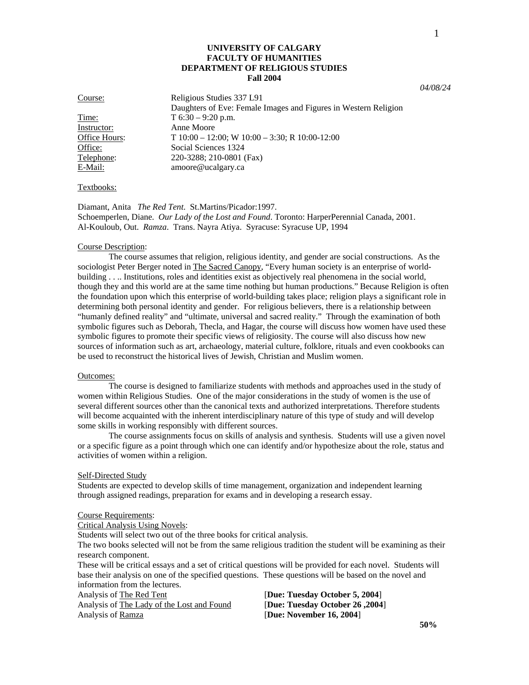# **UNIVERSITY OF CALGARY FACULTY OF HUMANITIES DEPARTMENT OF RELIGIOUS STUDIES Fall 2004**

*04/08/24* 

1

Instructor: Anne Moore<br>Office Hours: T 10:00 – 12

Course: Religious Studies 337 L91 Daughters of Eve: Female Images and Figures in Western Religion Time:  $T 6:30 - 9:20 \text{ p.m.}$  $T 10:00 - 12:00$ ; W  $10:00 - 3:30$ ; R  $10:00-12:00$ Office: Social Sciences 1324 Telephone: 220-3288; 210-0801 (Fax) E-Mail: amoore@ucalgary.ca

### Textbooks:

Diamant, Anita *The Red Tent*. St.Martins/Picador:1997. Schoemperlen, Diane. *Our Lady of the Lost and Found*. Toronto: HarperPerennial Canada, 2001. Al-Kouloub, Out. *Ramza*. Trans. Nayra Atiya. Syracuse: Syracuse UP, 1994

### Course Description:

 The course assumes that religion, religious identity, and gender are social constructions. As the sociologist Peter Berger noted in The Sacred Canopy, "Every human society is an enterprise of worldbuilding . . .. Institutions, roles and identities exist as objectively real phenomena in the social world, though they and this world are at the same time nothing but human productions." Because Religion is often the foundation upon which this enterprise of world-building takes place; religion plays a significant role in determining both personal identity and gender. For religious believers, there is a relationship between "humanly defined reality" and "ultimate, universal and sacred reality." Through the examination of both symbolic figures such as Deborah, Thecla, and Hagar, the course will discuss how women have used these symbolic figures to promote their specific views of religiosity. The course will also discuss how new sources of information such as art, archaeology, material culture, folklore, rituals and even cookbooks can be used to reconstruct the historical lives of Jewish, Christian and Muslim women.

### Outcomes:

 The course is designed to familiarize students with methods and approaches used in the study of women within Religious Studies. One of the major considerations in the study of women is the use of several different sources other than the canonical texts and authorized interpretations. Therefore students will become acquainted with the inherent interdisciplinary nature of this type of study and will develop some skills in working responsibly with different sources.

 The course assignments focus on skills of analysis and synthesis. Students will use a given novel or a specific figure as a point through which one can identify and/or hypothesize about the role, status and activities of women within a religion.

#### Self-Directed Study

Students are expected to develop skills of time management, organization and independent learning through assigned readings, preparation for exams and in developing a research essay.

### Course Requirements:

Critical Analysis Using Novels:

Students will select two out of the three books for critical analysis.

The two books selected will not be from the same religious tradition the student will be examining as their research component.

These will be critical essays and a set of critical questions will be provided for each novel. Students will base their analysis on one of the specified questions. These questions will be based on the novel and information from the lectures.

Analysis of The Lady of the Lost and Found [**Due: Tuesday October 26 ,2004**] Analysis of Ramza *Pue: November 16, 2004* 

Analysis of The Red Tent [**Due: Tuesday October 5, 2004**]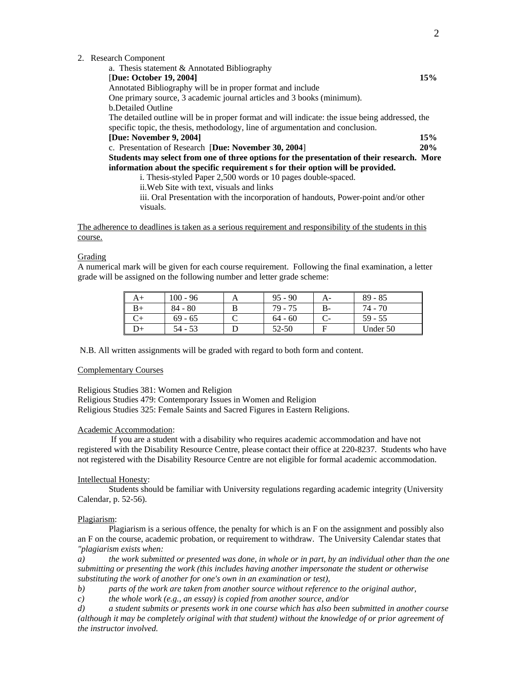|  |  | 2. Research Component |
|--|--|-----------------------|
|--|--|-----------------------|

visuals.

| a. Thesis statement & Annotated Bibliography                                                    |     |  |  |  |
|-------------------------------------------------------------------------------------------------|-----|--|--|--|
| [Due: October 19, 2004]                                                                         |     |  |  |  |
| Annotated Bibliography will be in proper format and include                                     |     |  |  |  |
| One primary source, 3 academic journal articles and 3 books (minimum).                          |     |  |  |  |
| <b>b.</b> Detailed Outline                                                                      |     |  |  |  |
| The detailed outline will be in proper format and will indicate: the issue being addressed, the |     |  |  |  |
| specific topic, the thesis, methodology, line of argumentation and conclusion.                  |     |  |  |  |
| [Due: November 9, 2004]                                                                         | 15% |  |  |  |
| c. Presentation of Research [Due: November 30, 2004]                                            |     |  |  |  |
| Students may select from one of three options for the presentation of their research. More      |     |  |  |  |
| information about the specific requirement s for their option will be provided.                 |     |  |  |  |
| i. Thesis-styled Paper 2,500 words or 10 pages double-spaced.                                   |     |  |  |  |
| ii. Web Site with text, visuals and links                                                       |     |  |  |  |
| iii. Oral Presentation with the incorporation of handouts, Power-point and/or other             |     |  |  |  |

The adherence to deadlines is taken as a serious requirement and responsibility of the students in this course.

# **Grading**

A numerical mark will be given for each course requirement. Following the final examination, a letter grade will be assigned on the following number and letter grade scheme:

| $100 - 96$ | $95 - 90$ | $A-$ | $89 - 85$ |
|------------|-----------|------|-----------|
| $84 - 80$  | $79 - 75$ | В-   | 74 - 70   |
| $69 - 65$  | $64 - 60$ |      | $59 - 55$ |
| 54 - 53    | 52-50     |      | Under 50  |

N.B. All written assignments will be graded with regard to both form and content.

## Complementary Courses

Religious Studies 381: Women and Religion Religious Studies 479: Contemporary Issues in Women and Religion Religious Studies 325: Female Saints and Sacred Figures in Eastern Religions.

## Academic Accommodation:

 If you are a student with a disability who requires academic accommodation and have not registered with the Disability Resource Centre, please contact their office at 220-8237. Students who have not registered with the Disability Resource Centre are not eligible for formal academic accommodation.

#### Intellectual Honesty:

Students should be familiar with University regulations regarding academic integrity (University Calendar, p. 52-56).

## Plagiarism:

Plagiarism is a serious offence, the penalty for which is an F on the assignment and possibly also an F on the course, academic probation, or requirement to withdraw. The University Calendar states that *"plagiarism exists when:* 

*a) the work submitted or presented was done, in whole or in part, by an individual other than the one submitting or presenting the work (this includes having another impersonate the student or otherwise substituting the work of another for one's own in an examination or test),* 

*b) parts of the work are taken from another source without reference to the original author,* 

*c) the whole work (e.g., an essay) is copied from another source, and/or* 

*d) a student submits or presents work in one course which has also been submitted in another course (although it may be completely original with that student) without the knowledge of or prior agreement of the instructor involved.*